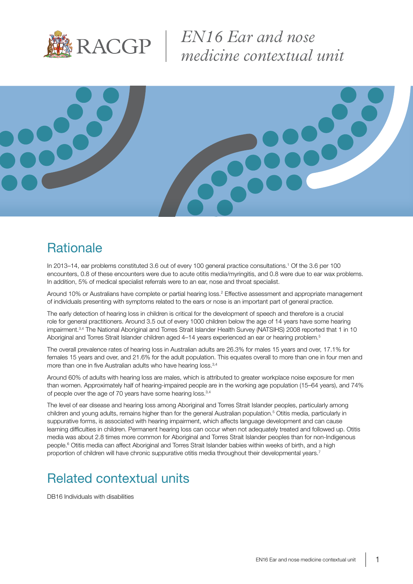

*EN16 Ear and nose medicine contextual unit*



### **Rationale**

In 2013–14, ear problems constituted 3.6 out of every 100 general practice consultations.<sup>1</sup> Of the 3.6 per 100 encounters, 0.8 of these encounters were due to acute otitis media/myringitis, and 0.8 were due to ear wax problems. In addition, 5% of medical specialist referrals were to an ear, nose and throat specialist.

Around 10% or Australians have complete or partial hearing loss.<sup>2</sup> Effective assessment and appropriate management of individuals presenting with symptoms related to the ears or nose is an important part of general practice.

The early detection of hearing loss in children is critical for the development of speech and therefore is a crucial role for general practitioners. Around 3.5 out of every 1000 children below the age of 14 years have some hearing impairment.<sup>3,4</sup> The National Aboriginal and Torres Strait Islander Health Survey (NATSIHS) 2008 reported that 1 in 10 Aboriginal and Torres Strait Islander children aged 4-14 years experienced an ear or hearing problem.<sup>5</sup>

The overall prevalence rates of hearing loss in Australian adults are 26.3% for males 15 years and over, 17.1% for females 15 years and over, and 21.6% for the adult population. This equates overall to more than one in four men and more than one in five Australian adults who have hearing loss.<sup>3,4</sup>

Around 60% of adults with hearing loss are males, which is attributed to greater workplace noise exposure for men than women. Approximately half of hearing-impaired people are in the working age population (15–64 years), and 74% of people over the age of 70 years have some hearing loss.<sup>3,4</sup>

The level of ear disease and hearing loss among Aboriginal and Torres Strait Islander peoples, particularly among children and young adults, remains higher than for the general Australian population.<sup>5</sup> Otitis media, particularly in suppurative forms, is associated with hearing impairment, which affects language development and can cause learning difficulties in children. Permanent hearing loss can occur when not adequately treated and followed up. Otitis media was about 2.8 times more common for Aboriginal and Torres Strait Islander peoples than for non-Indigenous people.<sup>6</sup> Otitis media can affect Aboriginal and Torres Strait Islander babies within weeks of birth, and a high proportion of children will have chronic suppurative otitis media throughout their developmental years.7

# Related contextual units

DB16 Individuals with disabilities